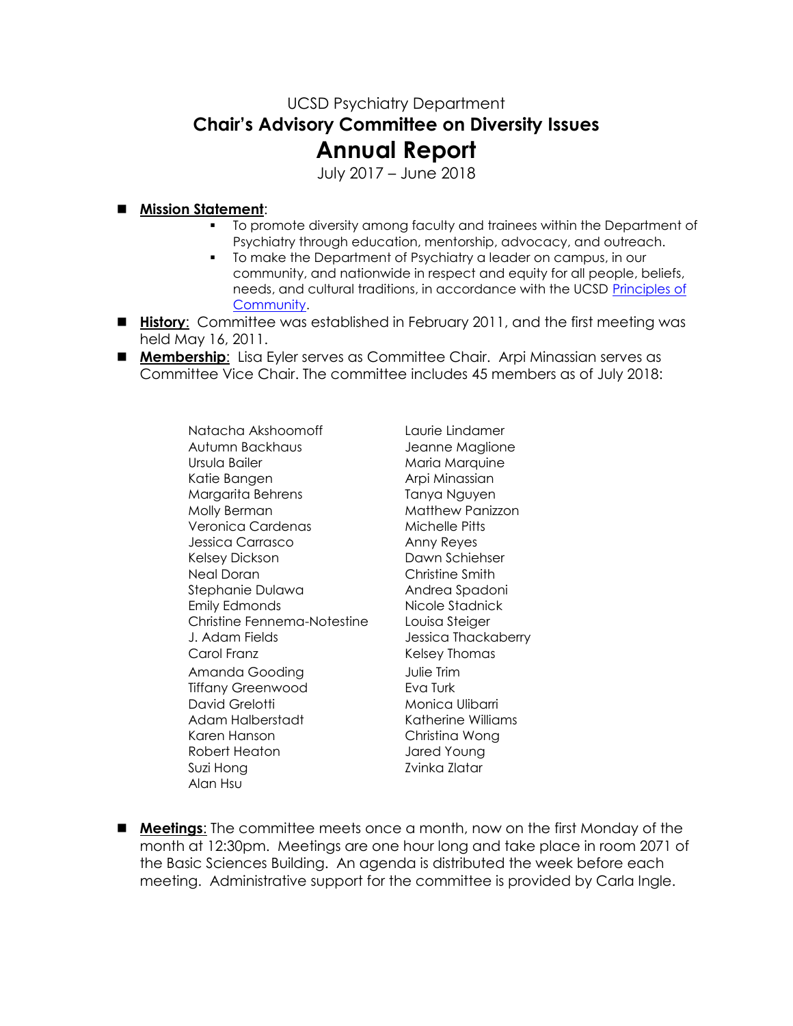## UCSD Psychiatry Department **Chair's Advisory Committee on Diversity Issues Annual Report**

July 2017 – June 2018

## **Mission Statement**:

- To promote diversity among faculty and trainees within the Department of Psychiatry through education, mentorship, advocacy, and outreach.
- To make the Department of Psychiatry a leader on campus, in our community, and nationwide in respect and equity for all people, beliefs, needs, and cultural traditions, in accordance with the UCSD [Principles of](http://www-vcba.ucsd.edu/principles.htm)  [Community.](http://www-vcba.ucsd.edu/principles.htm)
- **History**: Committee was established in February 2011, and the first meeting was held May 16, 2011.
- **Membership**: Lisa Eyler serves as Committee Chair. Arpi Minassian serves as Committee Vice Chair. The committee includes 45 members as of July 2018:

Natacha Akshoomoff Laurie Lindamer Autumn Backhaus Jeanne Maglione Ursula Bailer **Maria Marquine** Katie Bangen Arpi Minassian Margarita Behrens Tanya Nguyen Molly Berman Matthew Panizzon Veronica Cardenas Michelle Pitts Jessica Carrasco Anny Reyes Kelsey Dickson Dawn Schiehser Neal Doran Christine Smith Stephanie Dulawa Mandrea Spadoni Emily Edmonds Nicole Stadnick Christine Fennema-Notestine Louisa Steiger J. Adam Fields Jessica Thackaberry Carol Franz **Kelsey Thomas** Amanda Gooding Tulie Trim Tiffany Greenwood **Eva Turk** David Grelotti Monica Ulibarri Adam Halberstadt Katherine Williams Karen Hanson Christina Wong Robert Heaton Jared Young Suzi Hong **Zvinka Zlatar** Alan Hsu

 **Meetings**: The committee meets once a month, now on the first Monday of the month at 12:30pm. Meetings are one hour long and take place in room 2071 of the Basic Sciences Building. An agenda is distributed the week before each meeting. Administrative support for the committee is provided by Carla Ingle.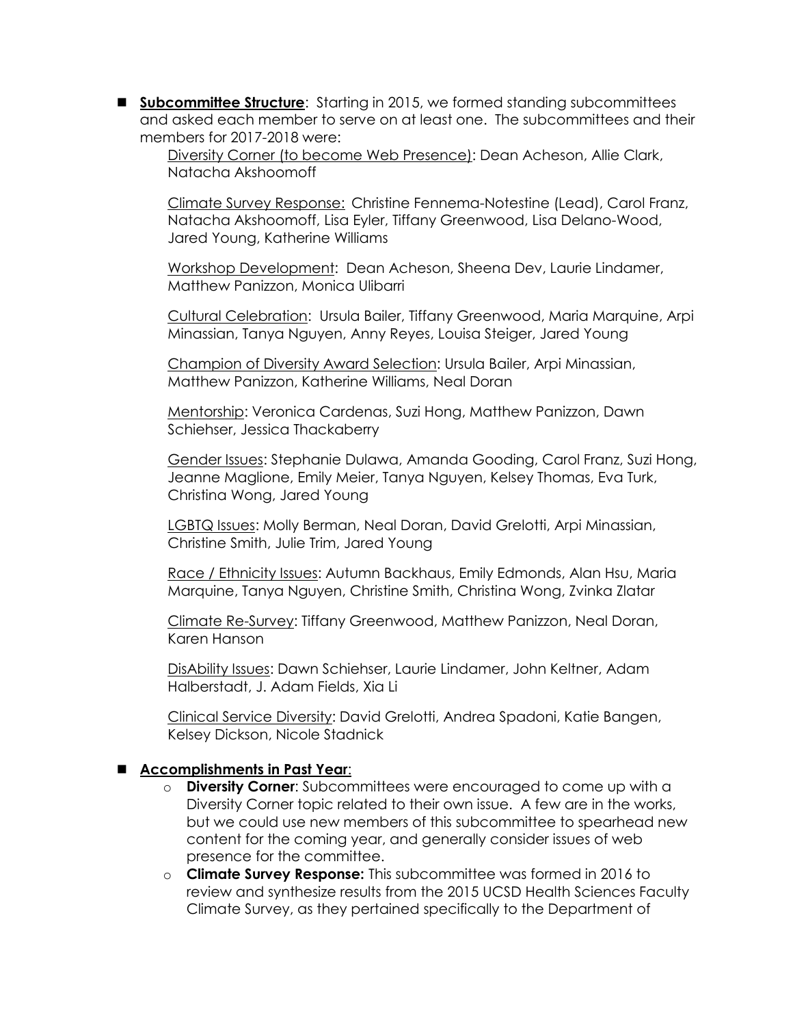**Subcommittee Structure**: Starting in 2015, we formed standing subcommittees and asked each member to serve on at least one. The subcommittees and their members for 2017-2018 were:

Diversity Corner (to become Web Presence): Dean Acheson, Allie Clark, Natacha Akshoomoff

Climate Survey Response: Christine Fennema-Notestine (Lead), Carol Franz, Natacha Akshoomoff, Lisa Eyler, Tiffany Greenwood, Lisa Delano-Wood, Jared Young, Katherine Williams

Workshop Development: Dean Acheson, Sheena Dev, Laurie Lindamer, Matthew Panizzon, Monica Ulibarri

Cultural Celebration: Ursula Bailer, Tiffany Greenwood, Maria Marquine, Arpi Minassian, Tanya Nguyen, Anny Reyes, Louisa Steiger, Jared Young

Champion of Diversity Award Selection: Ursula Bailer, Arpi Minassian, Matthew Panizzon, Katherine Williams, Neal Doran

Mentorship: Veronica Cardenas, Suzi Hong, Matthew Panizzon, Dawn Schiehser, Jessica Thackaberry

Gender Issues: Stephanie Dulawa, Amanda Gooding, Carol Franz, Suzi Hong, Jeanne Maglione, Emily Meier, Tanya Nguyen, Kelsey Thomas, Eva Turk, Christina Wong, Jared Young

LGBTQ Issues: Molly Berman, Neal Doran, David Grelotti, Arpi Minassian, Christine Smith, Julie Trim, Jared Young

Race / Ethnicity Issues: Autumn Backhaus, Emily Edmonds, Alan Hsu, Maria Marquine, Tanya Nguyen, Christine Smith, Christina Wong, Zvinka Zlatar

Climate Re-Survey: Tiffany Greenwood, Matthew Panizzon, Neal Doran, Karen Hanson

DisAbility Issues: Dawn Schiehser, Laurie Lindamer, John Keltner, Adam Halberstadt, J. Adam Fields, Xia Li

Clinical Service Diversity: David Grelotti, Andrea Spadoni, Katie Bangen, Kelsey Dickson, Nicole Stadnick

## **Accomplishments in Past Year**:

- o **Diversity Corner**: Subcommittees were encouraged to come up with a Diversity Corner topic related to their own issue. A few are in the works, but we could use new members of this subcommittee to spearhead new content for the coming year, and generally consider issues of web presence for the committee.
- o **Climate Survey Response:** This subcommittee was formed in 2016 to review and synthesize results from the 2015 UCSD Health Sciences Faculty Climate Survey, as they pertained specifically to the Department of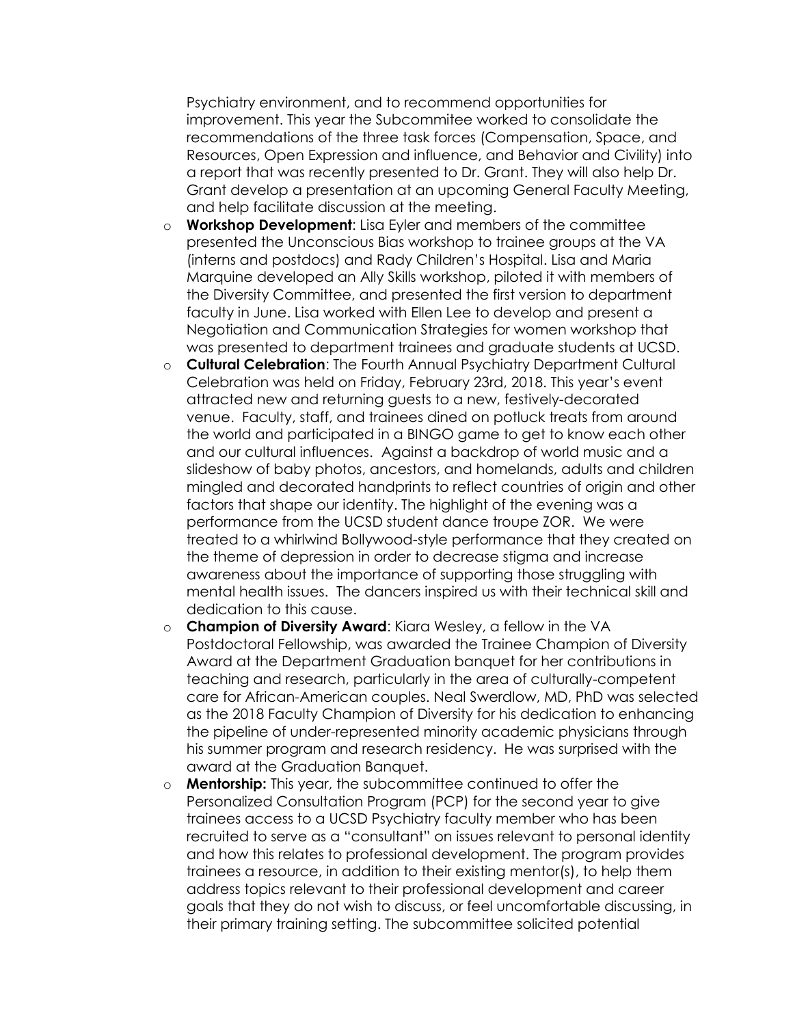Psychiatry environment, and to recommend opportunities for improvement. This year the Subcommitee worked to consolidate the recommendations of the three task forces (Compensation, Space, and Resources, Open Expression and influence, and Behavior and Civility) into a report that was recently presented to Dr. Grant. They will also help Dr. Grant develop a presentation at an upcoming General Faculty Meeting, and help facilitate discussion at the meeting.

- o **Workshop Development**: Lisa Eyler and members of the committee presented the Unconscious Bias workshop to trainee groups at the VA (interns and postdocs) and Rady Children's Hospital. Lisa and Maria Marquine developed an Ally Skills workshop, piloted it with members of the Diversity Committee, and presented the first version to department faculty in June. Lisa worked with Ellen Lee to develop and present a Negotiation and Communication Strategies for women workshop that was presented to department trainees and graduate students at UCSD.
- o **Cultural Celebration**: The Fourth Annual Psychiatry Department Cultural Celebration was held on Friday, February 23rd, 2018. This year's event attracted new and returning guests to a new, festively-decorated venue. Faculty, staff, and trainees dined on potluck treats from around the world and participated in a BINGO game to get to know each other and our cultural influences. Against a backdrop of world music and a slideshow of baby photos, ancestors, and homelands, adults and children mingled and decorated handprints to reflect countries of origin and other factors that shape our identity. The highlight of the evening was a performance from the UCSD student dance troupe ZOR. We were treated to a whirlwind Bollywood-style performance that they created on the theme of depression in order to decrease stigma and increase awareness about the importance of supporting those struggling with mental health issues. The dancers inspired us with their technical skill and dedication to this cause.
- o **Champion of Diversity Award**: Kiara Wesley, a fellow in the VA Postdoctoral Fellowship, was awarded the Trainee Champion of Diversity Award at the Department Graduation banquet for her contributions in teaching and research, particularly in the area of culturally-competent care for African-American couples. Neal Swerdlow, MD, PhD was selected as the 2018 Faculty Champion of Diversity for his dedication to enhancing the pipeline of under-represented minority academic physicians through his summer program and research residency. He was surprised with the award at the Graduation Banquet.
- o **Mentorship:** This year, the subcommittee continued to offer the Personalized Consultation Program (PCP) for the second year to give trainees access to a UCSD Psychiatry faculty member who has been recruited to serve as a "consultant" on issues relevant to personal identity and how this relates to professional development. The program provides trainees a resource, in addition to their existing mentor(s), to help them address topics relevant to their professional development and career goals that they do not wish to discuss, or feel uncomfortable discussing, in their primary training setting. The subcommittee solicited potential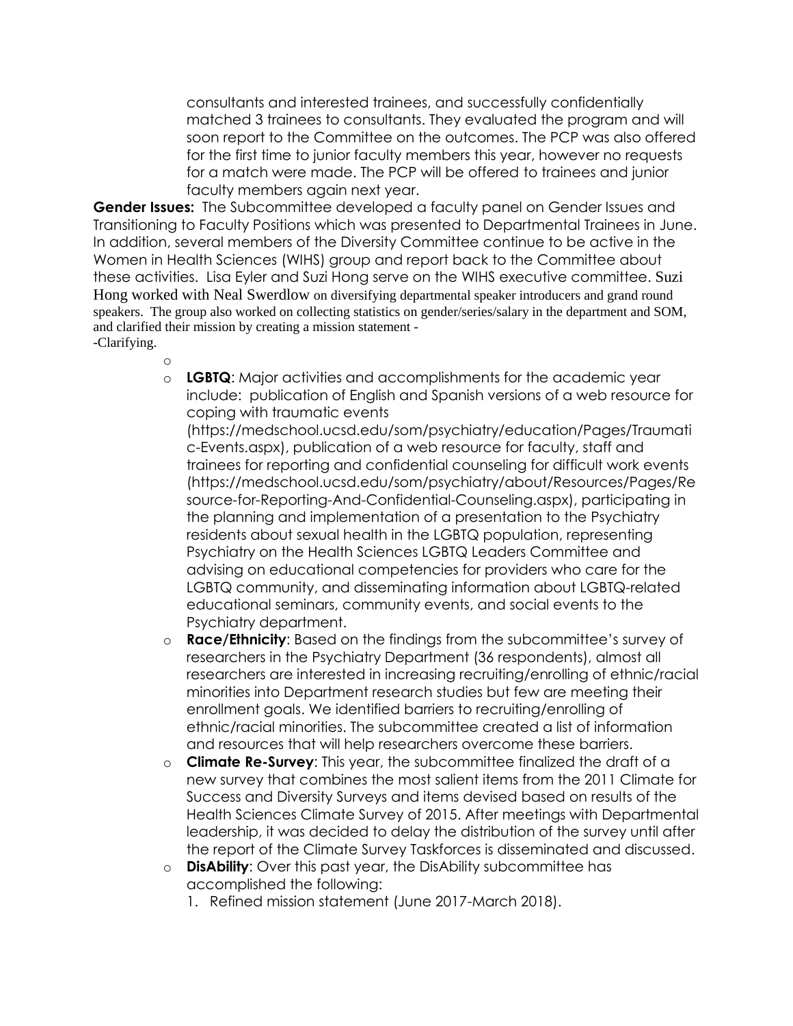consultants and interested trainees, and successfully confidentially matched 3 trainees to consultants. They evaluated the program and will soon report to the Committee on the outcomes. The PCP was also offered for the first time to junior faculty members this year, however no requests for a match were made. The PCP will be offered to trainees and junior faculty members again next year.

**Gender Issues:** The Subcommittee developed a faculty panel on Gender Issues and Transitioning to Faculty Positions which was presented to Departmental Trainees in June. In addition, several members of the Diversity Committee continue to be active in the Women in Health Sciences (WIHS) group and report back to the Committee about these activities. Lisa Eyler and Suzi Hong serve on the WIHS executive committee. Suzi Hong worked with Neal Swerdlow on diversifying departmental speaker introducers and grand round speakers. The group also worked on collecting statistics on gender/series/salary in the department and SOM, and clarified their mission by creating a mission statement - -Clarifying.

- o
- o **LGBTQ**: Major activities and accomplishments for the academic year include: publication of English and Spanish versions of a web resource for coping with traumatic events

[\(https://medschool.ucsd.edu/som/psychiatry/education/Pages/Traumati](https://medschool.ucsd.edu/som/psychiatry/education/Pages/Traumatic-Events.aspx) [c-Events.aspx\)](https://medschool.ucsd.edu/som/psychiatry/education/Pages/Traumatic-Events.aspx), publication of a web resource for faculty, staff and trainees for reporting and confidential counseling for difficult work events [\(https://medschool.ucsd.edu/som/psychiatry/about/Resources/Pages/Re](https://medschool.ucsd.edu/som/psychiatry/about/Resources/Pages/Resource-for-Reporting-And-Confidential-Counseling.aspx) [source-for-Reporting-And-Confidential-Counseling.aspx\)](https://medschool.ucsd.edu/som/psychiatry/about/Resources/Pages/Resource-for-Reporting-And-Confidential-Counseling.aspx), participating in the planning and implementation of a presentation to the Psychiatry residents about sexual health in the LGBTQ population, representing Psychiatry on the Health Sciences LGBTQ Leaders Committee and advising on educational competencies for providers who care for the LGBTQ community, and disseminating information about LGBTQ-related educational seminars, community events, and social events to the Psychiatry department.

- o **Race/Ethnicity**: Based on the findings from the subcommittee's survey of researchers in the Psychiatry Department (36 respondents), almost all researchers are interested in increasing recruiting/enrolling of ethnic/racial minorities into Department research studies but few are meeting their enrollment goals. We identified barriers to recruiting/enrolling of ethnic/racial minorities. The subcommittee created a list of information and resources that will help researchers overcome these barriers.
- o **Climate Re-Survey**: This year, the subcommittee finalized the draft of a new survey that combines the most salient items from the 2011 Climate for Success and Diversity Surveys and items devised based on results of the Health Sciences Climate Survey of 2015. After meetings with Departmental leadership, it was decided to delay the distribution of the survey until after the report of the Climate Survey Taskforces is disseminated and discussed.
- o **DisAbility**: Over this past year, the DisAbility subcommittee has accomplished the following:
	- 1. Refined mission statement (June 2017-March 2018).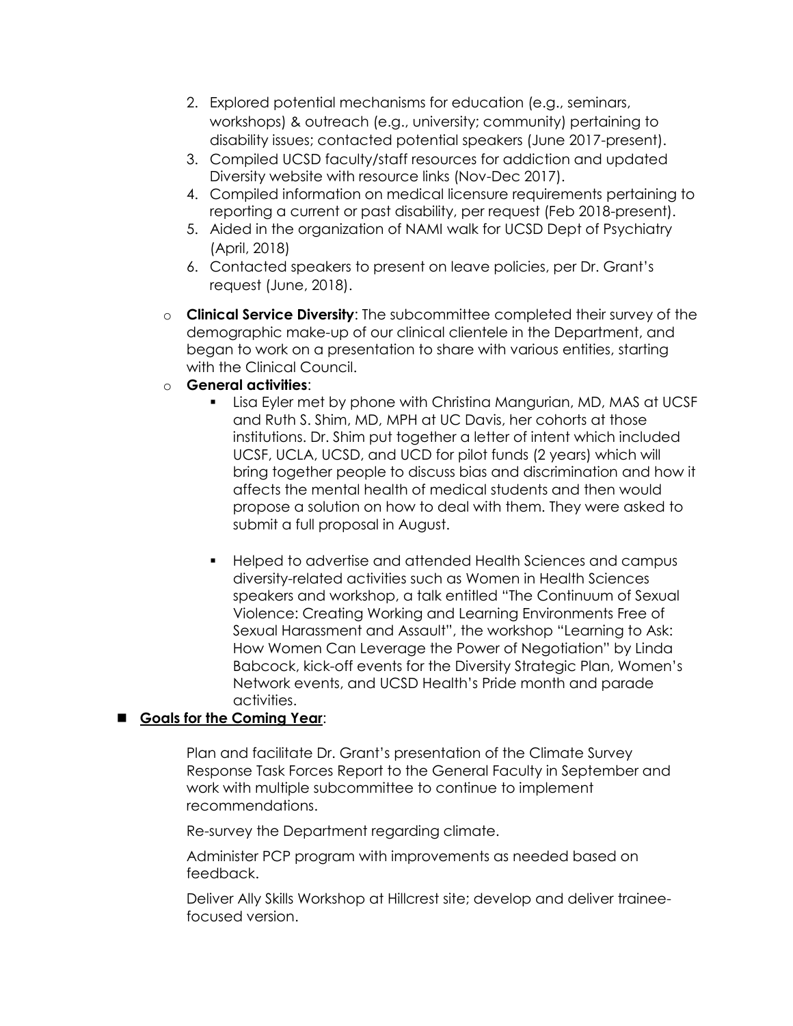- 2. Explored potential mechanisms for education (e.g., seminars, workshops) & outreach (e.g., university; community) pertaining to disability issues; contacted potential speakers (June 2017-present).
- 3. Compiled UCSD faculty/staff resources for addiction and updated Diversity website with resource links (Nov-Dec 2017).
- 4. Compiled information on medical licensure requirements pertaining to reporting a current or past disability, per request (Feb 2018-present).
- 5. Aided in the organization of NAMI walk for UCSD Dept of Psychiatry (April, 2018)
- 6. Contacted speakers to present on leave policies, per Dr. Grant's request (June, 2018).
- o **Clinical Service Diversity**: The subcommittee completed their survey of the demographic make-up of our clinical clientele in the Department, and began to work on a presentation to share with various entities, starting with the Clinical Council.
- o **General activities**:
	- Lisa Eyler met by phone with Christina Mangurian, MD, MAS at UCSF and Ruth S. Shim, MD, MPH at UC Davis, her cohorts at those institutions. Dr. Shim put together a letter of intent which included UCSF, UCLA, UCSD, and UCD for pilot funds (2 years) which will bring together people to discuss bias and discrimination and how it affects the mental health of medical students and then would propose a solution on how to deal with them. They were asked to submit a full proposal in August.
	- Helped to advertise and attended Health Sciences and campus diversity-related activities such as Women in Health Sciences speakers and workshop, a talk entitled "The Continuum of Sexual Violence: Creating Working and Learning Environments Free of Sexual Harassment and Assault", the workshop "Learning to Ask: How Women Can Leverage the Power of Negotiation" by Linda Babcock, kick-off events for the Diversity Strategic Plan, Women's Network events, and UCSD Health's Pride month and parade activities.

## **Goals for the Coming Year**:

Plan and facilitate Dr. Grant's presentation of the Climate Survey Response Task Forces Report to the General Faculty in September and work with multiple subcommittee to continue to implement recommendations.

Re-survey the Department regarding climate.

Administer PCP program with improvements as needed based on feedback.

Deliver Ally Skills Workshop at Hillcrest site; develop and deliver traineefocused version.